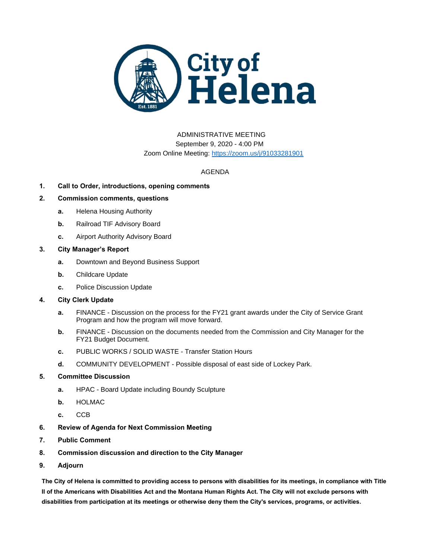

# ADMINISTRATIVE MEETING September 9, 2020 - 4:00 PM Zoom Online Meeting:<https://zoom.us/j/91033281901>

## AGENDA

## **1. Call to Order, introductions, opening comments**

## **2. Commission comments, questions**

- **a.** Helena Housing Authority
- **b.** Railroad TIF Advisory Board
- **c.** Airport Authority Advisory Board

### **3. City Manager's Report**

- **a.** Downtown and Beyond Business Support
- **b.** Childcare Update
- **c.** Police Discussion Update

#### **4. City Clerk Update**

- **a.** FINANCE Discussion on the process for the FY21 grant awards under the City of Service Grant Program and how the program will move forward.
- **b.** FINANCE Discussion on the documents needed from the Commission and City Manager for the FY21 Budget Document.
- **c.** PUBLIC WORKS / SOLID WASTE Transfer Station Hours
- **d.** COMMUNITY DEVELOPMENT Possible disposal of east side of Lockey Park.

### **5. Committee Discussion**

- **a.** HPAC Board Update including Boundy Sculpture
- **b.** HOLMAC
- **c.** CCB
- **6. Review of Agenda for Next Commission Meeting**
- **7. Public Comment**
- **8. Commission discussion and direction to the City Manager**
- **9. Adjourn**

**The City of Helena is committed to providing access to persons with disabilities for its meetings, in compliance with Title II of the Americans with Disabilities Act and the Montana Human Rights Act. The City will not exclude persons with disabilities from participation at its meetings or otherwise deny them the City's services, programs, or activities.**